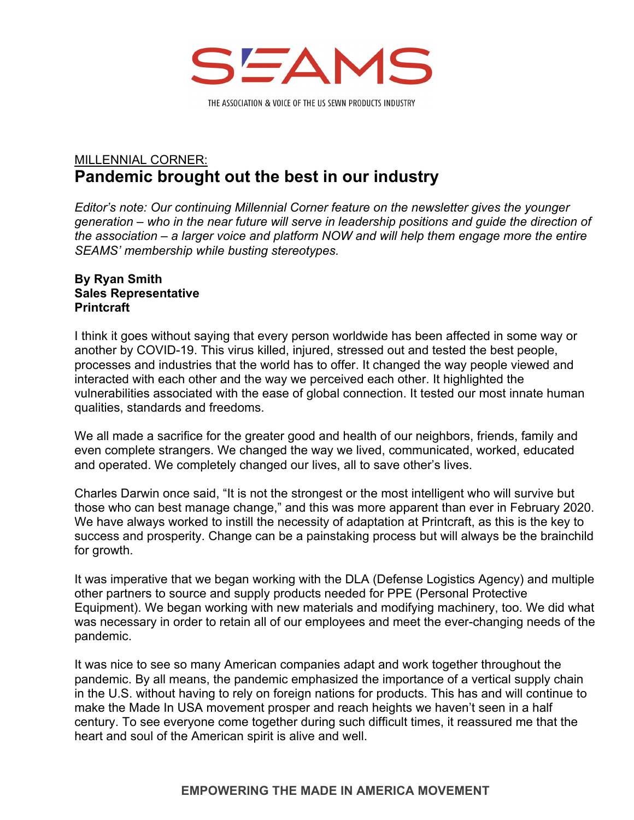

THE ASSOCIATION & VOICE OF THE US SEWN PRODUCTS INDUSTRY

## MILLENNIAL CORNER: **Pandemic brought out the best in our industry**

*Editor's note: Our continuing Millennial Corner feature on the newsletter gives the younger generation – who in the near future will serve in leadership positions and guide the direction of the association – a larger voice and platform NOW and will help them engage more the entire SEAMS' membership while busting stereotypes.* 

## **By Ryan Smith Sales Representative Printcraft**

I think it goes without saying that every person worldwide has been affected in some way or another by COVID-19. This virus killed, injured, stressed out and tested the best people, processes and industries that the world has to offer. It changed the way people viewed and interacted with each other and the way we perceived each other. It highlighted the vulnerabilities associated with the ease of global connection. It tested our most innate human qualities, standards and freedoms.

We all made a sacrifice for the greater good and health of our neighbors, friends, family and even complete strangers. We changed the way we lived, communicated, worked, educated and operated. We completely changed our lives, all to save other's lives.

Charles Darwin once said, "It is not the strongest or the most intelligent who will survive but those who can best manage change," and this was more apparent than ever in February 2020. We have always worked to instill the necessity of adaptation at Printcraft, as this is the key to success and prosperity. Change can be a painstaking process but will always be the brainchild for growth.

It was imperative that we began working with the DLA (Defense Logistics Agency) and multiple other partners to source and supply products needed for PPE (Personal Protective Equipment). We began working with new materials and modifying machinery, too. We did what was necessary in order to retain all of our employees and meet the ever-changing needs of the pandemic.

It was nice to see so many American companies adapt and work together throughout the pandemic. By all means, the pandemic emphasized the importance of a vertical supply chain in the U.S. without having to rely on foreign nations for products. This has and will continue to make the Made In USA movement prosper and reach heights we haven't seen in a half century. To see everyone come together during such difficult times, it reassured me that the heart and soul of the American spirit is alive and well.

## **EMPOWERING THE MADE IN AMERICA MOVEMENT**